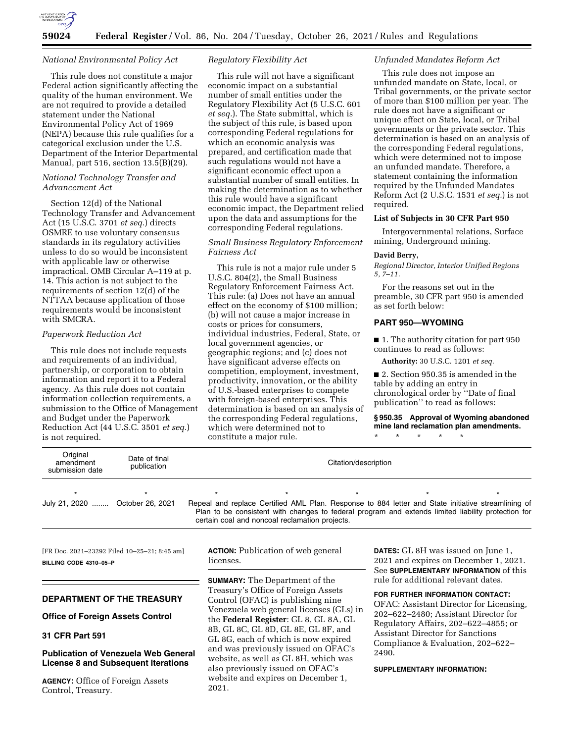

## *National Environmental Policy Act*

This rule does not constitute a major Federal action significantly affecting the quality of the human environment. We are not required to provide a detailed statement under the National Environmental Policy Act of 1969 (NEPA) because this rule qualifies for a categorical exclusion under the U.S. Department of the Interior Departmental Manual, part 516, section 13.5(B)(29).

# *National Technology Transfer and Advancement Act*

Section 12(d) of the National Technology Transfer and Advancement Act (15 U.S.C. 3701 *et seq.*) directs OSMRE to use voluntary consensus standards in its regulatory activities unless to do so would be inconsistent with applicable law or otherwise impractical. OMB Circular A–119 at p. 14. This action is not subject to the requirements of section 12(d) of the NTTAA because application of those requirements would be inconsistent with SMCRA.

# *Paperwork Reduction Act*

This rule does not include requests and requirements of an individual, partnership, or corporation to obtain information and report it to a Federal agency. As this rule does not contain information collection requirements, a submission to the Office of Management and Budget under the Paperwork Reduction Act (44 U.S.C. 3501 *et seq.*) is not required.

# *Regulatory Flexibility Act*

This rule will not have a significant economic impact on a substantial number of small entities under the Regulatory Flexibility Act (5 U.S.C. 601 *et seq.*). The State submittal, which is the subject of this rule, is based upon corresponding Federal regulations for which an economic analysis was prepared, and certification made that such regulations would not have a significant economic effect upon a substantial number of small entities. In making the determination as to whether this rule would have a significant economic impact, the Department relied upon the data and assumptions for the corresponding Federal regulations.

## *Small Business Regulatory Enforcement Fairness Act*

This rule is not a major rule under 5 U.S.C. 804(2), the Small Business Regulatory Enforcement Fairness Act. This rule: (a) Does not have an annual effect on the economy of \$100 million; (b) will not cause a major increase in costs or prices for consumers, individual industries, Federal, State, or local government agencies, or geographic regions; and (c) does not have significant adverse effects on competition, employment, investment, productivity, innovation, or the ability of U.S.-based enterprises to compete with foreign-based enterprises. This determination is based on an analysis of the corresponding Federal regulations, which were determined not to constitute a major rule.

## *Unfunded Mandates Reform Act*

This rule does not impose an unfunded mandate on State, local, or Tribal governments, or the private sector of more than \$100 million per year. The rule does not have a significant or unique effect on State, local, or Tribal governments or the private sector. This determination is based on an analysis of the corresponding Federal regulations, which were determined not to impose an unfunded mandate. Therefore, a statement containing the information required by the Unfunded Mandates Reform Act (2 U.S.C. 1531 *et seq.*) is not required.

### **List of Subjects in 30 CFR Part 950**

Intergovernmental relations, Surface mining, Underground mining.

#### **David Berry,**

*Regional Director, Interior Unified Regions 5, 7–11.* 

For the reasons set out in the preamble, 30 CFR part 950 is amended as set forth below:

# **PART 950—WYOMING**

■ 1. The authority citation for part 950 continues to read as follows:

**Authority:** 30 U.S.C. 1201 *et seq.* 

■ 2. Section 950.35 is amended in the table by adding an entry in chronological order by ''Date of final publication'' to read as follows:

**§ 950.35 Approval of Wyoming abandoned mine land reclamation plan amendments.**  \* \* \* \* \*

| Original<br>amendment<br>submission date | Date of final<br>publication | Citation/description |                                                |  |                                                                                                                                                                                                          |  |
|------------------------------------------|------------------------------|----------------------|------------------------------------------------|--|----------------------------------------------------------------------------------------------------------------------------------------------------------------------------------------------------------|--|
|                                          |                              |                      |                                                |  |                                                                                                                                                                                                          |  |
| July 21, 2020  October 26, 2021          |                              |                      | certain coal and noncoal reclamation projects. |  | Repeal and replace Certified AML Plan. Response to 884 letter and State initiative streamlining of<br>Plan to be consistent with changes to federal program and extends limited liability protection for |  |

[FR Doc. 2021–23292 Filed 10–25–21; 8:45 am] **BILLING CODE 4310–05–P** 

# **DEPARTMENT OF THE TREASURY**

#### **Office of Foreign Assets Control**

#### **31 CFR Part 591**

## **Publication of Venezuela Web General License 8 and Subsequent Iterations**

**AGENCY:** Office of Foreign Assets Control, Treasury.

**ACTION:** Publication of web general licenses.

**SUMMARY:** The Department of the Treasury's Office of Foreign Assets Control (OFAC) is publishing nine Venezuela web general licenses (GLs) in the **Federal Register**: GL 8, GL 8A, GL 8B, GL 8C, GL 8D, GL 8E, GL 8F, and GL 8G, each of which is now expired and was previously issued on OFAC's website, as well as GL 8H, which was also previously issued on OFAC's website and expires on December 1, 2021.

**DATES:** GL 8H was issued on June 1, 2021 and expires on December 1, 2021. See **SUPPLEMENTARY INFORMATION** of this rule for additional relevant dates.

**FOR FURTHER INFORMATION CONTACT:** 

OFAC: Assistant Director for Licensing, 202–622–2480; Assistant Director for Regulatory Affairs, 202–622–4855; or Assistant Director for Sanctions Compliance & Evaluation, 202–622– 2490.

#### **SUPPLEMENTARY INFORMATION:**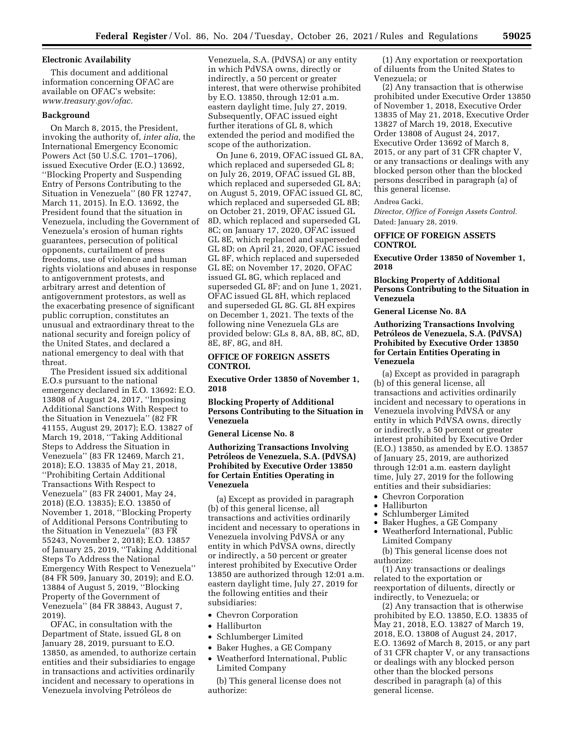#### **Electronic Availability**

This document and additional information concerning OFAC are available on OFAC's website: *[www.treasury.gov/ofac.](http://www.treasury.gov/ofac)* 

#### **Background**

On March 8, 2015, the President, invoking the authority of, *inter alia,* the International Emergency Economic Powers Act (50 U.S.C. 1701–1706), issued Executive Order (E.O.) 13692, ''Blocking Property and Suspending Entry of Persons Contributing to the Situation in Venezuela'' (80 FR 12747, March 11, 2015). In E.O. 13692, the President found that the situation in Venezuela, including the Government of Venezuela's erosion of human rights guarantees, persecution of political opponents, curtailment of press freedoms, use of violence and human rights violations and abuses in response to antigovernment protests, and arbitrary arrest and detention of antigovernment protestors, as well as the exacerbating presence of significant public corruption, constitutes an unusual and extraordinary threat to the national security and foreign policy of the United States, and declared a national emergency to deal with that threat.

The President issued six additional E.O.s pursuant to the national emergency declared in E.O. 13692: E.O. 13808 of August 24, 2017, ''Imposing Additional Sanctions With Respect to the Situation in Venezuela'' (82 FR 41155, August 29, 2017); E.O. 13827 of March 19, 2018, ''Taking Additional Steps to Address the Situation in Venezuela'' (83 FR 12469, March 21, 2018); E.O. 13835 of May 21, 2018, ''Prohibiting Certain Additional Transactions With Respect to Venezuela'' (83 FR 24001, May 24, 2018) (E.O. 13835); E.O. 13850 of November 1, 2018, ''Blocking Property of Additional Persons Contributing to the Situation in Venezuela'' (83 FR 55243, November 2, 2018); E.O. 13857 of January 25, 2019, ''Taking Additional Steps To Address the National Emergency With Respect to Venezuela'' (84 FR 509, January 30, 2019); and E.O. 13884 of August 5, 2019, ''Blocking Property of the Government of Venezuela'' (84 FR 38843, August 7, 2019).

OFAC, in consultation with the Department of State, issued GL 8 on January 28, 2019, pursuant to E.O. 13850, as amended, to authorize certain entities and their subsidiaries to engage in transactions and activities ordinarily incident and necessary to operations in Venezuela involving Petróleos de

Venezuela, S.A. (PdVSA) or any entity in which PdVSA owns, directly or indirectly, a 50 percent or greater interest, that were otherwise prohibited by E.O. 13850, through 12:01 a.m. eastern daylight time, July 27, 2019. Subsequently, OFAC issued eight further iterations of GL 8, which extended the period and modified the scope of the authorization.

On June 6, 2019, OFAC issued GL 8A, which replaced and superseded GL 8; on July 26, 2019, OFAC issued GL 8B, which replaced and superseded GL 8A; on August 5, 2019, OFAC issued GL 8C, which replaced and superseded GL 8B; on October 21, 2019, OFAC issued GL 8D, which replaced and superseded GL 8C; on January 17, 2020, OFAC issued GL 8E, which replaced and superseded GL 8D; on April 21, 2020, OFAC issued GL 8F, which replaced and superseded GL 8E; on November 17, 2020, OFAC issued GL 8G, which replaced and superseded GL 8F; and on June 1, 2021, OFAC issued GL 8H, which replaced and superseded GL 8G. GL 8H expires on December 1, 2021. The texts of the following nine Venezuela GLs are provided below: GLs 8, 8A, 8B, 8C, 8D, 8E, 8F, 8G, and 8H.

# **OFFICE OF FOREIGN ASSETS CONTROL**

**Executive Order 13850 of November 1, 2018** 

**Blocking Property of Additional Persons Contributing to the Situation in Venezuela** 

**General License No. 8** 

# **Authorizing Transactions Involving**  Petróleos de Venezuela, S.A. (PdVSA) **Prohibited by Executive Order 13850 for Certain Entities Operating in Venezuela**

(a) Except as provided in paragraph (b) of this general license, all transactions and activities ordinarily incident and necessary to operations in Venezuela involving PdVSA or any entity in which PdVSA owns, directly or indirectly, a 50 percent or greater interest prohibited by Executive Order 13850 are authorized through 12:01 a.m. eastern daylight time, July 27, 2019 for the following entities and their subsidiaries:

- Chevron Corporation
- Halliburton
- Schlumberger Limited
- Baker Hughes, a GE Company
- Weatherford International, Public Limited Company

(b) This general license does not authorize:

(1) Any exportation or reexportation of diluents from the United States to Venezuela; or

(2) Any transaction that is otherwise prohibited under Executive Order 13850 of November 1, 2018, Executive Order 13835 of May 21, 2018, Executive Order 13827 of March 19, 2018, Executive Order 13808 of August 24, 2017, Executive Order 13692 of March 8, 2015, or any part of 31 CFR chapter V, or any transactions or dealings with any blocked person other than the blocked persons described in paragraph (a) of this general license.

#### Andrea Gacki,

*Director, Office of Foreign Assets Control.*  Dated: January 28, 2019.

# **OFFICE OF FOREIGN ASSETS CONTROL**

**Executive Order 13850 of November 1, 2018** 

#### **Blocking Property of Additional Persons Contributing to the Situation in Venezuela**

**General License No. 8A** 

## **Authorizing Transactions Involving**  Petróleos de Venezuela, S.A. (PdVSA) **Prohibited by Executive Order 13850 for Certain Entities Operating in Venezuela**

(a) Except as provided in paragraph (b) of this general license, all transactions and activities ordinarily incident and necessary to operations in Venezuela involving PdVSA or any entity in which PdVSA owns, directly or indirectly, a 50 percent or greater interest prohibited by Executive Order (E.O.) 13850, as amended by E.O. 13857 of January 25, 2019, are authorized through 12:01 a.m. eastern daylight time, July 27, 2019 for the following entities and their subsidiaries:

- Chevron Corporation<br>• Halliburton
- Halliburton
- Schlumberger Limited
- Baker Hughes, a GE Company
- Weatherford International, Public Limited Company

(b) This general license does not authorize:

(1) Any transactions or dealings related to the exportation or reexportation of diluents, directly or indirectly, to Venezuela; or

(2) Any transaction that is otherwise prohibited by E.O. 13850, E.O. 13835 of May 21, 2018, E.O. 13827 of March 19, 2018, E.O. 13808 of August 24, 2017, E.O. 13692 of March 8, 2015, or any part of 31 CFR chapter V, or any transactions or dealings with any blocked person other than the blocked persons described in paragraph (a) of this general license.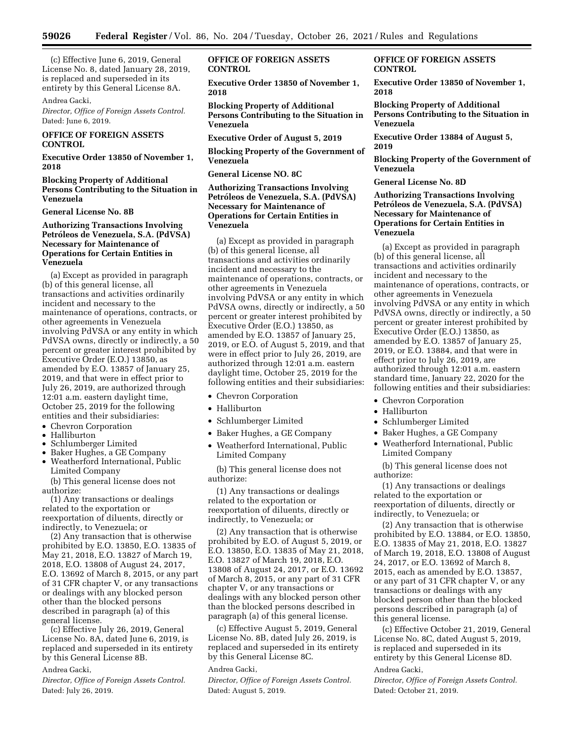(c) Effective June 6, 2019, General License No. 8, dated January 28, 2019, is replaced and superseded in its entirety by this General License 8A.

#### Andrea Gacki,

*Director, Office of Foreign Assets Control.*  Dated: June 6, 2019.

# **OFFICE OF FOREIGN ASSETS CONTROL**

**Executive Order 13850 of November 1, 2018** 

**Blocking Property of Additional Persons Contributing to the Situation in Venezuela** 

#### **General License No. 8B**

# **Authorizing Transactions Involving**  Petróleos de Venezuela, S.A. (PdVSA) **Necessary for Maintenance of Operations for Certain Entities in Venezuela**

(a) Except as provided in paragraph (b) of this general license, all transactions and activities ordinarily incident and necessary to the maintenance of operations, contracts, or other agreements in Venezuela involving PdVSA or any entity in which PdVSA owns, directly or indirectly, a 50 percent or greater interest prohibited by Executive Order (E.O.) 13850, as amended by E.O. 13857 of January 25, 2019, and that were in effect prior to July 26, 2019, are authorized through 12:01 a.m. eastern daylight time, October 25, 2019 for the following entities and their subsidiaries:

- Chevron Corporation
- Halliburton
- Schlumberger Limited
- Baker Hughes, a GE Company • Weatherford International, Public Limited Company

(b) This general license does not authorize:

(1) Any transactions or dealings related to the exportation or reexportation of diluents, directly or indirectly, to Venezuela; or

(2) Any transaction that is otherwise prohibited by E.O. 13850, E.O. 13835 of May 21, 2018, E.O. 13827 of March 19, 2018, E.O. 13808 of August 24, 2017, E.O. 13692 of March 8, 2015, or any part of 31 CFR chapter V, or any transactions or dealings with any blocked person other than the blocked persons described in paragraph (a) of this general license.

(c) Effective July 26, 2019, General License No. 8A, dated June 6, 2019, is replaced and superseded in its entirety by this General License 8B.

#### Andrea Gacki,

*Director, Office of Foreign Assets Control.*  Dated: July 26, 2019.

# **OFFICE OF FOREIGN ASSETS CONTROL**

**Executive Order 13850 of November 1, 2018** 

**Blocking Property of Additional Persons Contributing to the Situation in Venezuela** 

**Executive Order of August 5, 2019** 

**Blocking Property of the Government of Venezuela** 

**General License NO. 8C** 

# **Authorizing Transactions Involving**  Petróleos de Venezuela, S.A. (PdVSA) **Necessary for Maintenance of Operations for Certain Entities in Venezuela**

(a) Except as provided in paragraph (b) of this general license, all transactions and activities ordinarily incident and necessary to the maintenance of operations, contracts, or other agreements in Venezuela involving PdVSA or any entity in which PdVSA owns, directly or indirectly, a 50 percent or greater interest prohibited by Executive Order (E.O.) 13850, as amended by E.O. 13857 of January 25, 2019, or E.O. of August 5, 2019, and that were in effect prior to July 26, 2019, are authorized through 12:01 a.m. eastern daylight time, October 25, 2019 for the following entities and their subsidiaries:

- Chevron Corporation
- Halliburton
- Schlumberger Limited
- Baker Hughes, a GE Company
- Weatherford International, Public Limited Company

(b) This general license does not authorize:

(1) Any transactions or dealings related to the exportation or reexportation of diluents, directly or indirectly, to Venezuela; or

(2) Any transaction that is otherwise prohibited by E.O. of August 5, 2019, or E.O. 13850, E.O. 13835 of May 21, 2018, E.O. 13827 of March 19, 2018, E.O. 13808 of August 24, 2017, or E.O. 13692 of March 8, 2015, or any part of 31 CFR chapter V, or any transactions or dealings with any blocked person other than the blocked persons described in paragraph (a) of this general license.

(c) Effective August 5, 2019, General License No. 8B, dated July 26, 2019, is replaced and superseded in its entirety by this General License 8C.

## Andrea Gacki,

*Director, Office of Foreign Assets Control.*  Dated: August 5, 2019.

# **OFFICE OF FOREIGN ASSETS CONTROL**

**Executive Order 13850 of November 1, 2018** 

**Blocking Property of Additional Persons Contributing to the Situation in Venezuela** 

**Executive Order 13884 of August 5, 2019** 

**Blocking Property of the Government of Venezuela** 

**General License No. 8D** 

# **Authorizing Transactions Involving**  Petróleos de Venezuela, S.A. (PdVSA) **Necessary for Maintenance of Operations for Certain Entities in Venezuela**

(a) Except as provided in paragraph (b) of this general license, all transactions and activities ordinarily incident and necessary to the maintenance of operations, contracts, or other agreements in Venezuela involving PdVSA or any entity in which PdVSA owns, directly or indirectly, a 50 percent or greater interest prohibited by Executive Order (E.O.) 13850, as amended by E.O. 13857 of January 25, 2019, or E.O. 13884, and that were in effect prior to July 26, 2019, are authorized through 12:01 a.m. eastern standard time, January 22, 2020 for the following entities and their subsidiaries:

- Chevron Corporation
- Halliburton
- Schlumberger Limited
- Baker Hughes, a GE Company
- Weatherford International, Public Limited Company

(b) This general license does not authorize:

(1) Any transactions or dealings related to the exportation or reexportation of diluents, directly or indirectly, to Venezuela; or

(2) Any transaction that is otherwise prohibited by E.O. 13884, or E.O. 13850, E.O. 13835 of May 21, 2018, E.O. 13827 of March 19, 2018, E.O. 13808 of August 24, 2017, or E.O. 13692 of March 8, 2015, each as amended by E.O. 13857, or any part of 31 CFR chapter V, or any transactions or dealings with any blocked person other than the blocked persons described in paragraph (a) of this general license.

(c) Effective October 21, 2019, General License No. 8C, dated August 5, 2019, is replaced and superseded in its entirety by this General License 8D.

## Andrea Gacki,

*Director, Office of Foreign Assets Control.*  Dated: October 21, 2019.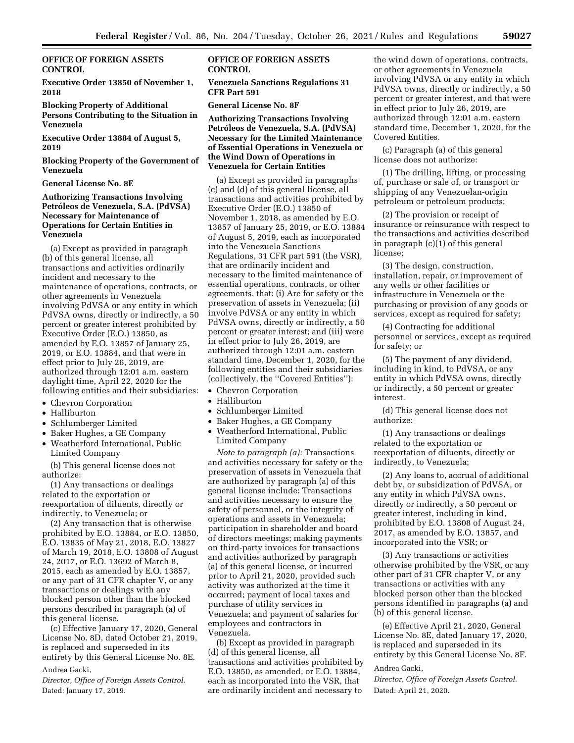**OFFICE OF FOREIGN ASSETS CONTROL** 

**Executive Order 13850 of November 1, 2018** 

**Blocking Property of Additional Persons Contributing to the Situation in Venezuela** 

**Executive Order 13884 of August 5, 2019** 

**Blocking Property of the Government of Venezuela** 

#### **General License No. 8E**

# **Authorizing Transactions Involving**  Petróleos de Venezuela, S.A. (PdVSA) **Necessary for Maintenance of Operations for Certain Entities in Venezuela**

(a) Except as provided in paragraph (b) of this general license, all transactions and activities ordinarily incident and necessary to the maintenance of operations, contracts, or other agreements in Venezuela involving PdVSA or any entity in which PdVSA owns, directly or indirectly, a 50 percent or greater interest prohibited by Executive Order (E.O.) 13850, as amended by E.O. 13857 of January 25, 2019, or E.O. 13884, and that were in effect prior to July 26, 2019, are authorized through 12:01 a.m. eastern daylight time, April 22, 2020 for the following entities and their subsidiaries:

- Chevron Corporation
- Halliburton
- Schlumberger Limited
- Baker Hughes, a GE Company
- Weatherford International, Public Limited Company

(b) This general license does not authorize:

(1) Any transactions or dealings related to the exportation or reexportation of diluents, directly or indirectly, to Venezuela; or

(2) Any transaction that is otherwise prohibited by E.O. 13884, or E.O. 13850, E.O. 13835 of May 21, 2018, E.O. 13827 of March 19, 2018, E.O. 13808 of August 24, 2017, or E.O. 13692 of March 8, 2015, each as amended by E.O. 13857, or any part of 31 CFR chapter V, or any transactions or dealings with any blocked person other than the blocked persons described in paragraph (a) of this general license.

(c) Effective January 17, 2020, General License No. 8D, dated October 21, 2019, is replaced and superseded in its entirety by this General License No. 8E.

# Andrea Gacki,

*Director, Office of Foreign Assets Control.*  Dated: January 17, 2019.

# **OFFICE OF FOREIGN ASSETS CONTROL**

**Venezuela Sanctions Regulations 31 CFR Part 591** 

#### **General License No. 8F**

**Authorizing Transactions Involving**  Petróleos de Venezuela, S.A. (PdVSA) **Necessary for the Limited Maintenance of Essential Operations in Venezuela or the Wind Down of Operations in Venezuela for Certain Entities** 

(a) Except as provided in paragraphs (c) and (d) of this general license, all transactions and activities prohibited by Executive Order (E.O.) 13850 of November 1, 2018, as amended by E.O. 13857 of January 25, 2019, or E.O. 13884 of August 5, 2019, each as incorporated into the Venezuela Sanctions Regulations, 31 CFR part 591 (the VSR), that are ordinarily incident and necessary to the limited maintenance of essential operations, contracts, or other agreements, that: (i) Are for safety or the preservation of assets in Venezuela; (ii) involve PdVSA or any entity in which PdVSA owns, directly or indirectly, a 50 percent or greater interest; and (iii) were in effect prior to July 26, 2019, are authorized through 12:01 a.m. eastern standard time, December 1, 2020, for the following entities and their subsidiaries (collectively, the ''Covered Entities''):

- Chevron Corporation
- Halliburton
- Schlumberger Limited
- Baker Hughes, a GE Company
- Weatherford International, Public Limited Company

*Note to paragraph (a):* Transactions and activities necessary for safety or the preservation of assets in Venezuela that are authorized by paragraph (a) of this general license include: Transactions and activities necessary to ensure the safety of personnel, or the integrity of operations and assets in Venezuela; participation in shareholder and board of directors meetings; making payments on third-party invoices for transactions and activities authorized by paragraph (a) of this general license, or incurred prior to April 21, 2020, provided such activity was authorized at the time it occurred; payment of local taxes and purchase of utility services in Venezuela; and payment of salaries for employees and contractors in Venezuela.

(b) Except as provided in paragraph (d) of this general license, all transactions and activities prohibited by E.O. 13850, as amended, or E.O. 13884, each as incorporated into the VSR, that are ordinarily incident and necessary to

the wind down of operations, contracts, or other agreements in Venezuela involving PdVSA or any entity in which PdVSA owns, directly or indirectly, a 50 percent or greater interest, and that were in effect prior to July 26, 2019, are authorized through 12:01 a.m. eastern standard time, December 1, 2020, for the Covered Entities.

(c) Paragraph (a) of this general license does not authorize:

(1) The drilling, lifting, or processing of, purchase or sale of, or transport or shipping of any Venezuelan-origin petroleum or petroleum products;

(2) The provision or receipt of insurance or reinsurance with respect to the transactions and activities described in paragraph (c)(1) of this general license;

(3) The design, construction, installation, repair, or improvement of any wells or other facilities or infrastructure in Venezuela or the purchasing or provision of any goods or services, except as required for safety;

(4) Contracting for additional personnel or services, except as required for safety; or

(5) The payment of any dividend, including in kind, to PdVSA, or any entity in which PdVSA owns, directly or indirectly, a 50 percent or greater interest.

(d) This general license does not authorize:

(1) Any transactions or dealings related to the exportation or reexportation of diluents, directly or indirectly, to Venezuela;

(2) Any loans to, accrual of additional debt by, or subsidization of PdVSA, or any entity in which PdVSA owns, directly or indirectly, a 50 percent or greater interest, including in kind, prohibited by E.O. 13808 of August 24, 2017, as amended by E.O. 13857, and incorporated into the VSR; or

(3) Any transactions or activities otherwise prohibited by the VSR, or any other part of 31 CFR chapter V, or any transactions or activities with any blocked person other than the blocked persons identified in paragraphs (a) and (b) of this general license.

(e) Effective April 21, 2020, General License No. 8E, dated January 17, 2020, is replaced and superseded in its entirety by this General License No. 8F.

#### Andrea Gacki,

*Director, Office of Foreign Assets Control.*  Dated: April 21, 2020.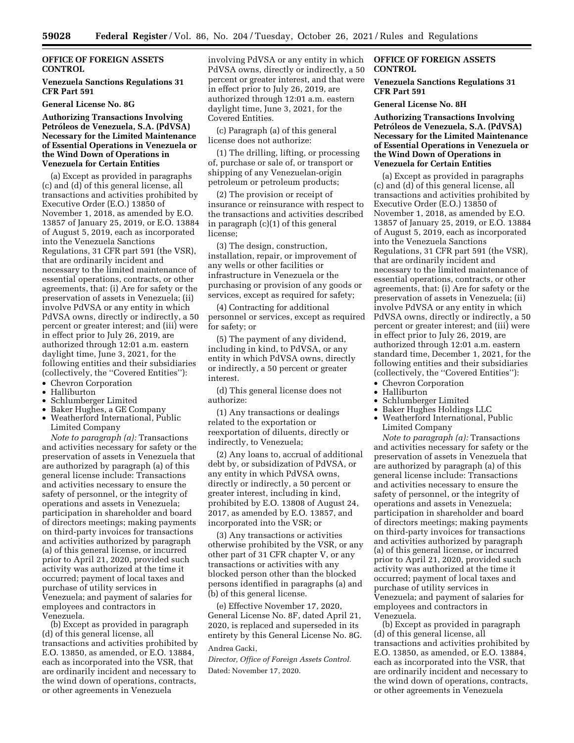# **OFFICE OF FOREIGN ASSETS CONTROL**

# **Venezuela Sanctions Regulations 31 CFR Part 591**

#### **General License No. 8G**

## **Authorizing Transactions Involving**  Petróleos de Venezuela, S.A. (PdVSA) **Necessary for the Limited Maintenance of Essential Operations in Venezuela or the Wind Down of Operations in Venezuela for Certain Entities**

(a) Except as provided in paragraphs (c) and (d) of this general license, all transactions and activities prohibited by Executive Order (E.O.) 13850 of November 1, 2018, as amended by E.O. 13857 of January 25, 2019, or E.O. 13884 of August 5, 2019, each as incorporated into the Venezuela Sanctions Regulations, 31 CFR part 591 (the VSR), that are ordinarily incident and necessary to the limited maintenance of essential operations, contracts, or other agreements, that: (i) Are for safety or the preservation of assets in Venezuela; (ii) involve PdVSA or any entity in which PdVSA owns, directly or indirectly, a 50 percent or greater interest; and (iii) were in effect prior to July 26, 2019, are authorized through 12:01 a.m. eastern daylight time, June 3, 2021, for the following entities and their subsidiaries (collectively, the ''Covered Entities''):

- Chevron Corporation
- Halliburton
- Schlumberger Limited
- Baker Hughes, a GE Company • Weatherford International, Public Limited Company

*Note to paragraph (a):* Transactions and activities necessary for safety or the preservation of assets in Venezuela that are authorized by paragraph (a) of this general license include: Transactions and activities necessary to ensure the safety of personnel, or the integrity of operations and assets in Venezuela; participation in shareholder and board of directors meetings; making payments on third-party invoices for transactions and activities authorized by paragraph (a) of this general license, or incurred prior to April 21, 2020, provided such activity was authorized at the time it occurred; payment of local taxes and purchase of utility services in Venezuela; and payment of salaries for employees and contractors in Venezuela.

(b) Except as provided in paragraph (d) of this general license, all transactions and activities prohibited by E.O. 13850, as amended, or E.O. 13884, each as incorporated into the VSR, that are ordinarily incident and necessary to the wind down of operations, contracts, or other agreements in Venezuela

involving PdVSA or any entity in which PdVSA owns, directly or indirectly, a 50 percent or greater interest, and that were in effect prior to July 26, 2019, are authorized through 12:01 a.m. eastern daylight time, June 3, 2021, for the Covered Entities.

(c) Paragraph (a) of this general license does not authorize:

(1) The drilling, lifting, or processing of, purchase or sale of, or transport or shipping of any Venezuelan-origin petroleum or petroleum products;

(2) The provision or receipt of insurance or reinsurance with respect to the transactions and activities described in paragraph (c)(1) of this general license;

(3) The design, construction, installation, repair, or improvement of any wells or other facilities or infrastructure in Venezuela or the purchasing or provision of any goods or services, except as required for safety;

(4) Contracting for additional personnel or services, except as required for safety; or

(5) The payment of any dividend, including in kind, to PdVSA, or any entity in which PdVSA owns, directly or indirectly, a 50 percent or greater interest.

(d) This general license does not authorize:

(1) Any transactions or dealings related to the exportation or reexportation of diluents, directly or indirectly, to Venezuela;

(2) Any loans to, accrual of additional debt by, or subsidization of PdVSA, or any entity in which PdVSA owns, directly or indirectly, a 50 percent or greater interest, including in kind, prohibited by E.O. 13808 of August 24, 2017, as amended by E.O. 13857, and incorporated into the VSR; or

(3) Any transactions or activities otherwise prohibited by the VSR, or any other part of 31 CFR chapter V, or any transactions or activities with any blocked person other than the blocked persons identified in paragraphs (a) and (b) of this general license.

(e) Effective November 17, 2020, General License No. 8F, dated April 21, 2020, is replaced and superseded in its entirety by this General License No. 8G. Andrea Gacki,

*Director, Office of Foreign Assets Control.*  Dated: November 17, 2020.

# **OFFICE OF FOREIGN ASSETS CONTROL**

### **Venezuela Sanctions Regulations 31 CFR Part 591**

#### **General License No. 8H**

**Authorizing Transactions Involving**  Petróleos de Venezuela, S.A. (PdVSA) **Necessary for the Limited Maintenance of Essential Operations in Venezuela or the Wind Down of Operations in Venezuela for Certain Entities** 

(a) Except as provided in paragraphs (c) and (d) of this general license, all transactions and activities prohibited by Executive Order (E.O.) 13850 of November 1, 2018, as amended by E.O. 13857 of January 25, 2019, or E.O. 13884 of August 5, 2019, each as incorporated into the Venezuela Sanctions Regulations, 31 CFR part 591 (the VSR), that are ordinarily incident and necessary to the limited maintenance of essential operations, contracts, or other agreements, that: (i) Are for safety or the preservation of assets in Venezuela; (ii) involve PdVSA or any entity in which PdVSA owns, directly or indirectly, a 50 percent or greater interest; and (iii) were in effect prior to July 26, 2019, are authorized through 12:01 a.m. eastern standard time, December 1, 2021, for the following entities and their subsidiaries (collectively, the ''Covered Entities''):

- Chevron Corporation
- Halliburton
- Schlumberger Limited
- Baker Hughes Holdings LLC
- Weatherford International, Public Limited Company

*Note to paragraph (a):* Transactions and activities necessary for safety or the preservation of assets in Venezuela that are authorized by paragraph (a) of this general license include: Transactions and activities necessary to ensure the safety of personnel, or the integrity of operations and assets in Venezuela; participation in shareholder and board of directors meetings; making payments on third-party invoices for transactions and activities authorized by paragraph (a) of this general license, or incurred prior to April 21, 2020, provided such activity was authorized at the time it occurred; payment of local taxes and purchase of utility services in Venezuela; and payment of salaries for employees and contractors in Venezuela.

(b) Except as provided in paragraph (d) of this general license, all transactions and activities prohibited by E.O. 13850, as amended, or E.O. 13884, each as incorporated into the VSR, that are ordinarily incident and necessary to the wind down of operations, contracts, or other agreements in Venezuela